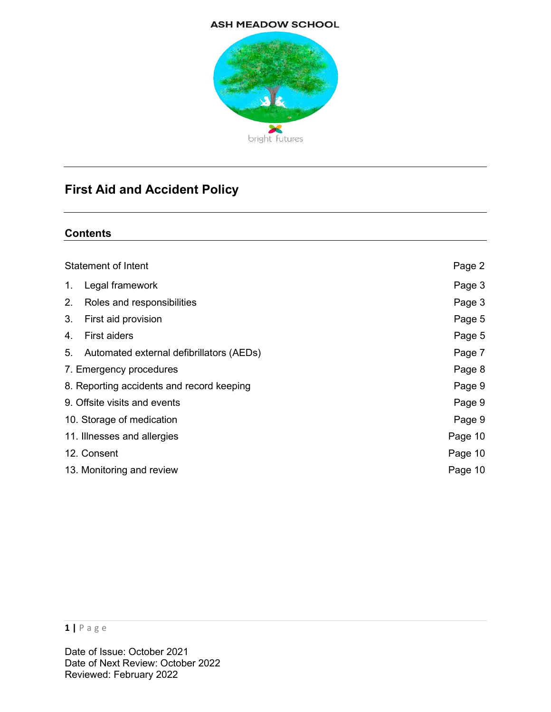#### **ASH MEADOW SCHOOL**



# First Aid and Accident Policy

#### **Contents**

| Statement of Intent                       |                                          | Page 2  |
|-------------------------------------------|------------------------------------------|---------|
| 1 <sub>1</sub>                            | Legal framework                          | Page 3  |
| 2.                                        | Roles and responsibilities               | Page 3  |
| 3.                                        | First aid provision                      | Page 5  |
| 4.                                        | <b>First aiders</b>                      | Page 5  |
| 5.                                        | Automated external defibrillators (AEDs) | Page 7  |
| 7. Emergency procedures                   |                                          | Page 8  |
| 8. Reporting accidents and record keeping |                                          | Page 9  |
| 9. Offsite visits and events              |                                          | Page 9  |
| 10. Storage of medication                 |                                          | Page 9  |
| 11. Illnesses and allergies               |                                          | Page 10 |
| 12. Consent                               |                                          | Page 10 |
| 13. Monitoring and review                 |                                          | Page 10 |
|                                           |                                          |         |

#### 1 | P a g e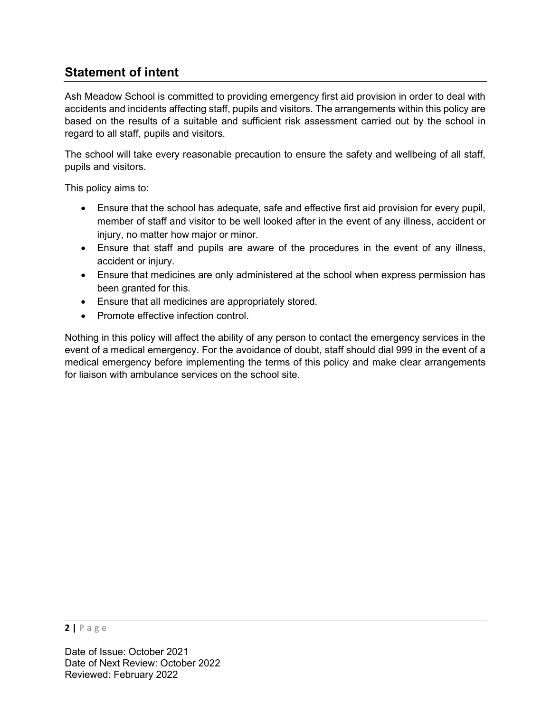# Statement of intent

Ash Meadow School is committed to providing emergency first aid provision in order to deal with accidents and incidents affecting staff, pupils and visitors. The arrangements within this policy are based on the results of a suitable and sufficient risk assessment carried out by the school in regard to all staff, pupils and visitors.

The school will take every reasonable precaution to ensure the safety and wellbeing of all staff, pupils and visitors.

This policy aims to:

- Ensure that the school has adequate, safe and effective first aid provision for every pupil, member of staff and visitor to be well looked after in the event of any illness, accident or injury, no matter how major or minor.
- Ensure that staff and pupils are aware of the procedures in the event of any illness, accident or injury.
- Ensure that medicines are only administered at the school when express permission has been granted for this.
- Ensure that all medicines are appropriately stored.
- Promote effective infection control.

Nothing in this policy will affect the ability of any person to contact the emergency services in the event of a medical emergency. For the avoidance of doubt, staff should dial 999 in the event of a medical emergency before implementing the terms of this policy and make clear arrangements for liaison with ambulance services on the school site.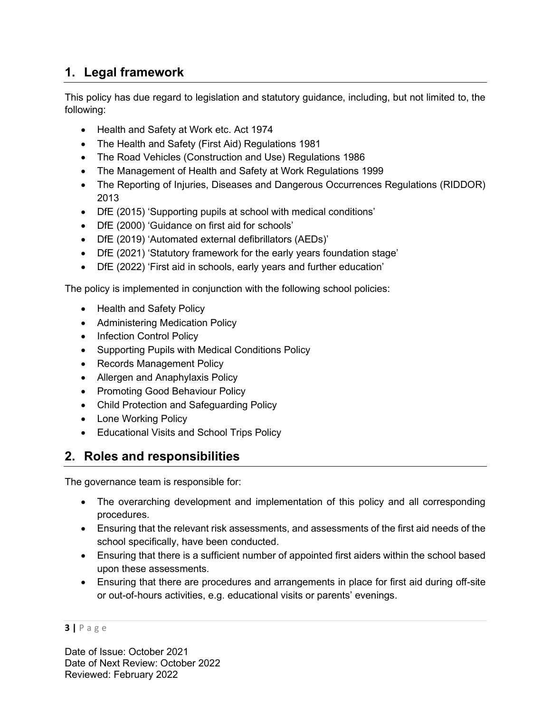# 1. Legal framework

This policy has due regard to legislation and statutory guidance, including, but not limited to, the following:

- Health and Safety at Work etc. Act 1974
- The Health and Safety (First Aid) Regulations 1981
- The Road Vehicles (Construction and Use) Regulations 1986
- The Management of Health and Safety at Work Regulations 1999
- The Reporting of Injuries, Diseases and Dangerous Occurrences Regulations (RIDDOR) 2013
- DfE (2015) 'Supporting pupils at school with medical conditions'
- DfE (2000) 'Guidance on first aid for schools'
- DfE (2019) 'Automated external defibrillators (AEDs)'
- DfE (2021) 'Statutory framework for the early years foundation stage'
- DfE (2022) 'First aid in schools, early years and further education'

The policy is implemented in conjunction with the following school policies:

- Health and Safety Policy
- Administering Medication Policy
- Infection Control Policy
- Supporting Pupils with Medical Conditions Policy
- Records Management Policy
- Allergen and Anaphylaxis Policy
- Promoting Good Behaviour Policy
- Child Protection and Safeguarding Policy
- Lone Working Policy
- Educational Visits and School Trips Policy

# 2. Roles and responsibilities

The governance team is responsible for:

- The overarching development and implementation of this policy and all corresponding procedures.
- Ensuring that the relevant risk assessments, and assessments of the first aid needs of the school specifically, have been conducted.
- Ensuring that there is a sufficient number of appointed first aiders within the school based upon these assessments.
- Ensuring that there are procedures and arrangements in place for first aid during off-site or out-of-hours activities, e.g. educational visits or parents' evenings.

#### 3 | P a g e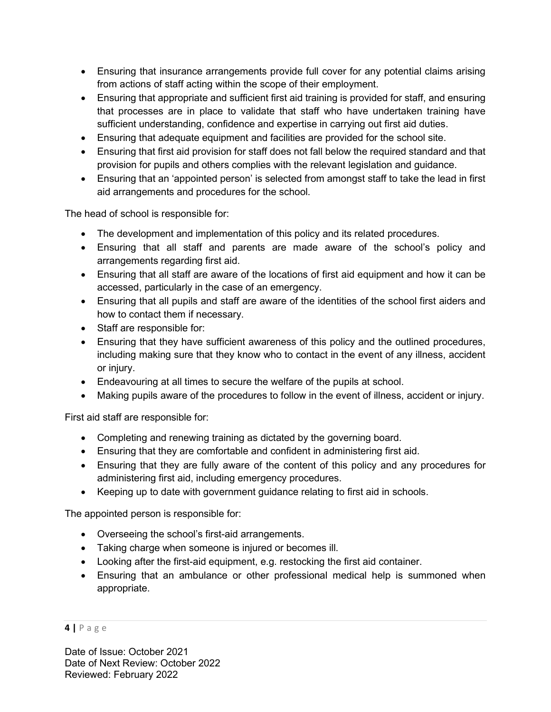- Ensuring that insurance arrangements provide full cover for any potential claims arising from actions of staff acting within the scope of their employment.
- Ensuring that appropriate and sufficient first aid training is provided for staff, and ensuring that processes are in place to validate that staff who have undertaken training have sufficient understanding, confidence and expertise in carrying out first aid duties.
- Ensuring that adequate equipment and facilities are provided for the school site.
- Ensuring that first aid provision for staff does not fall below the required standard and that provision for pupils and others complies with the relevant legislation and guidance.
- Ensuring that an 'appointed person' is selected from amongst staff to take the lead in first aid arrangements and procedures for the school.

The head of school is responsible for:

- The development and implementation of this policy and its related procedures.
- Ensuring that all staff and parents are made aware of the school's policy and arrangements regarding first aid.
- Ensuring that all staff are aware of the locations of first aid equipment and how it can be accessed, particularly in the case of an emergency.
- Ensuring that all pupils and staff are aware of the identities of the school first aiders and how to contact them if necessary.
- Staff are responsible for:
- Ensuring that they have sufficient awareness of this policy and the outlined procedures, including making sure that they know who to contact in the event of any illness, accident or injury.
- Endeavouring at all times to secure the welfare of the pupils at school.
- Making pupils aware of the procedures to follow in the event of illness, accident or injury.

First aid staff are responsible for:

- Completing and renewing training as dictated by the governing board.
- Ensuring that they are comfortable and confident in administering first aid.
- Ensuring that they are fully aware of the content of this policy and any procedures for administering first aid, including emergency procedures.
- Keeping up to date with government guidance relating to first aid in schools.

The appointed person is responsible for:

- Overseeing the school's first-aid arrangements.
- Taking charge when someone is injured or becomes ill.
- Looking after the first-aid equipment, e.g. restocking the first aid container.
- Ensuring that an ambulance or other professional medical help is summoned when appropriate.

#### 4 | P a g e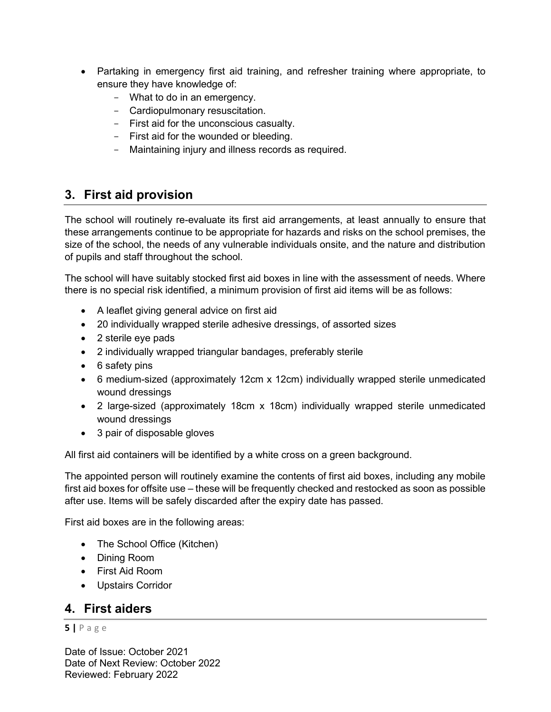- Partaking in emergency first aid training, and refresher training where appropriate, to ensure they have knowledge of:
	- What to do in an emergency.
	- Cardiopulmonary resuscitation.
	- First aid for the unconscious casualty.
	- First aid for the wounded or bleeding.
	- Maintaining injury and illness records as required.

#### 3. First aid provision

The school will routinely re-evaluate its first aid arrangements, at least annually to ensure that these arrangements continue to be appropriate for hazards and risks on the school premises, the size of the school, the needs of any vulnerable individuals onsite, and the nature and distribution of pupils and staff throughout the school.

The school will have suitably stocked first aid boxes in line with the assessment of needs. Where there is no special risk identified, a minimum provision of first aid items will be as follows:

- A leaflet giving general advice on first aid
- 20 individually wrapped sterile adhesive dressings, of assorted sizes
- 2 sterile eye pads
- 2 individually wrapped triangular bandages, preferably sterile
- 6 safety pins
- 6 medium-sized (approximately 12cm x 12cm) individually wrapped sterile unmedicated wound dressings
- 2 large-sized (approximately 18cm x 18cm) individually wrapped sterile unmedicated wound dressings
- 3 pair of disposable gloves

All first aid containers will be identified by a white cross on a green background.

The appointed person will routinely examine the contents of first aid boxes, including any mobile first aid boxes for offsite use – these will be frequently checked and restocked as soon as possible after use. Items will be safely discarded after the expiry date has passed.

First aid boxes are in the following areas:

- The School Office (Kitchen)
- Dining Room
- First Aid Room
- Upstairs Corridor

#### 4. First aiders

#### 5 | P a g e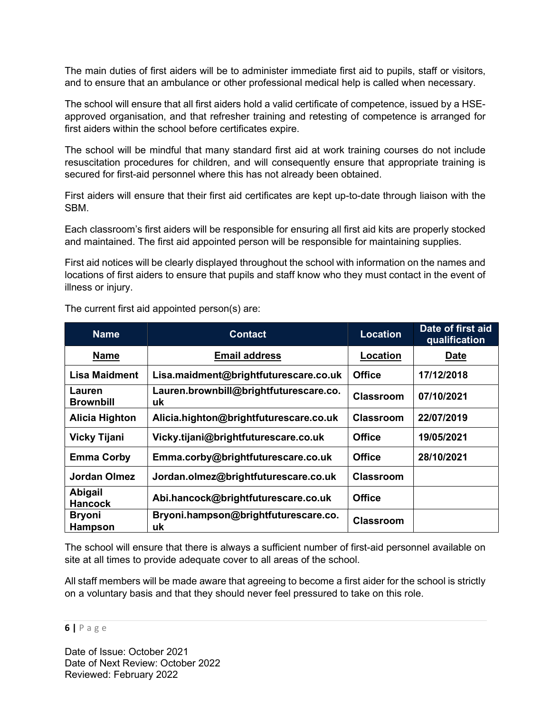The main duties of first aiders will be to administer immediate first aid to pupils, staff or visitors, and to ensure that an ambulance or other professional medical help is called when necessary.

The school will ensure that all first aiders hold a valid certificate of competence, issued by a HSEapproved organisation, and that refresher training and retesting of competence is arranged for first aiders within the school before certificates expire.

The school will be mindful that many standard first aid at work training courses do not include resuscitation procedures for children, and will consequently ensure that appropriate training is secured for first-aid personnel where this has not already been obtained.

First aiders will ensure that their first aid certificates are kept up-to-date through liaison with the SBM.

Each classroom's first aiders will be responsible for ensuring all first aid kits are properly stocked and maintained. The first aid appointed person will be responsible for maintaining supplies.

First aid notices will be clearly displayed throughout the school with information on the names and locations of first aiders to ensure that pupils and staff know who they must contact in the event of illness or injury.

| <b>Name</b>                      | <b>Contact</b>                               | <b>Location</b>  | Date of first aid<br>qualification |
|----------------------------------|----------------------------------------------|------------------|------------------------------------|
| <b>Name</b>                      | <b>Email address</b>                         | Location         | Date                               |
| <b>Lisa Maidment</b>             | Lisa.maidment@brightfuturescare.co.uk        | <b>Office</b>    | 17/12/2018                         |
| Lauren<br><b>Brownbill</b>       | Lauren.brownbill@brightfuturescare.co.<br>uk | <b>Classroom</b> | 07/10/2021                         |
| <b>Alicia Highton</b>            | Alicia.highton@brightfuturescare.co.uk       | <b>Classroom</b> | 22/07/2019                         |
| <b>Vicky Tijani</b>              | Vicky.tijani@brightfuturescare.co.uk         | <b>Office</b>    | 19/05/2021                         |
| <b>Emma Corby</b>                | Emma.corby@brightfuturescare.co.uk           | <b>Office</b>    | 28/10/2021                         |
| <b>Jordan Olmez</b>              | Jordan.olmez@brightfuturescare.co.uk         | <b>Classroom</b> |                                    |
| <b>Abigail</b><br><b>Hancock</b> | Abi.hancock@brightfuturescare.co.uk          | Office           |                                    |
| <b>Bryoni</b><br><b>Hampson</b>  | Bryoni.hampson@brightfuturescare.co.<br>uk   | <b>Classroom</b> |                                    |

The current first aid appointed person(s) are:

The school will ensure that there is always a sufficient number of first-aid personnel available on site at all times to provide adequate cover to all areas of the school.

All staff members will be made aware that agreeing to become a first aider for the school is strictly on a voluntary basis and that they should never feel pressured to take on this role.

6 | P a g e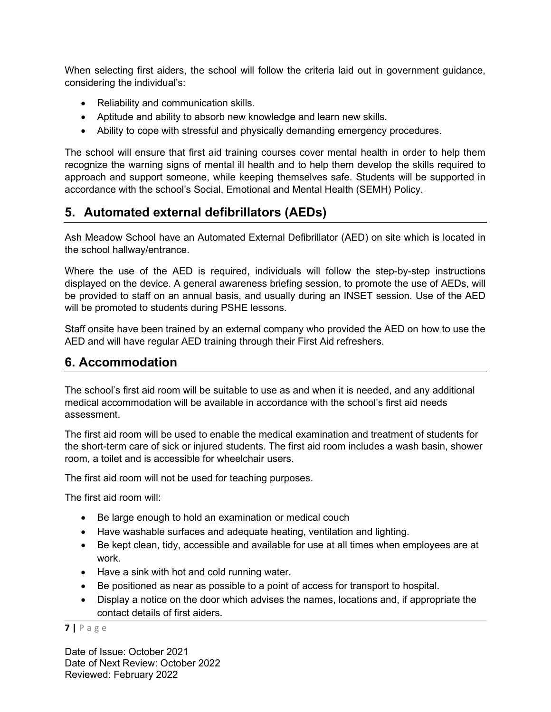When selecting first aiders, the school will follow the criteria laid out in government guidance, considering the individual's:

- Reliability and communication skills.
- Aptitude and ability to absorb new knowledge and learn new skills.
- Ability to cope with stressful and physically demanding emergency procedures.

The school will ensure that first aid training courses cover mental health in order to help them recognize the warning signs of mental ill health and to help them develop the skills required to approach and support someone, while keeping themselves safe. Students will be supported in accordance with the school's Social, Emotional and Mental Health (SEMH) Policy.

### 5. Automated external defibrillators (AEDs)

Ash Meadow School have an Automated External Defibrillator (AED) on site which is located in the school hallway/entrance.

Where the use of the AED is required, individuals will follow the step-by-step instructions displayed on the device. A general awareness briefing session, to promote the use of AEDs, will be provided to staff on an annual basis, and usually during an INSET session. Use of the AED will be promoted to students during PSHE lessons.

Staff onsite have been trained by an external company who provided the AED on how to use the AED and will have regular AED training through their First Aid refreshers.

### 6. Accommodation

The school's first aid room will be suitable to use as and when it is needed, and any additional medical accommodation will be available in accordance with the school's first aid needs assessment.

The first aid room will be used to enable the medical examination and treatment of students for the short-term care of sick or injured students. The first aid room includes a wash basin, shower room, a toilet and is accessible for wheelchair users.

The first aid room will not be used for teaching purposes.

The first aid room will:

- Be large enough to hold an examination or medical couch
- Have washable surfaces and adequate heating, ventilation and lighting.
- Be kept clean, tidy, accessible and available for use at all times when employees are at work.
- Have a sink with hot and cold running water.
- Be positioned as near as possible to a point of access for transport to hospital.
- Display a notice on the door which advises the names, locations and, if appropriate the contact details of first aiders.

7 | P a g e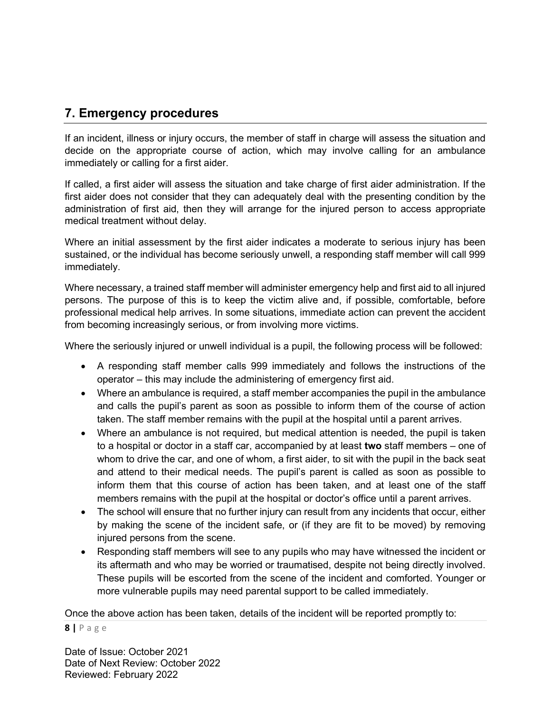# 7. Emergency procedures

If an incident, illness or injury occurs, the member of staff in charge will assess the situation and decide on the appropriate course of action, which may involve calling for an ambulance immediately or calling for a first aider.

If called, a first aider will assess the situation and take charge of first aider administration. If the first aider does not consider that they can adequately deal with the presenting condition by the administration of first aid, then they will arrange for the injured person to access appropriate medical treatment without delay.

Where an initial assessment by the first aider indicates a moderate to serious injury has been sustained, or the individual has become seriously unwell, a responding staff member will call 999 immediately.

Where necessary, a trained staff member will administer emergency help and first aid to all injured persons. The purpose of this is to keep the victim alive and, if possible, comfortable, before professional medical help arrives. In some situations, immediate action can prevent the accident from becoming increasingly serious, or from involving more victims.

Where the seriously injured or unwell individual is a pupil, the following process will be followed:

- A responding staff member calls 999 immediately and follows the instructions of the operator – this may include the administering of emergency first aid.
- Where an ambulance is required, a staff member accompanies the pupil in the ambulance and calls the pupil's parent as soon as possible to inform them of the course of action taken. The staff member remains with the pupil at the hospital until a parent arrives.
- Where an ambulance is not required, but medical attention is needed, the pupil is taken to a hospital or doctor in a staff car, accompanied by at least two staff members – one of whom to drive the car, and one of whom, a first aider, to sit with the pupil in the back seat and attend to their medical needs. The pupil's parent is called as soon as possible to inform them that this course of action has been taken, and at least one of the staff members remains with the pupil at the hospital or doctor's office until a parent arrives.
- The school will ensure that no further injury can result from any incidents that occur, either by making the scene of the incident safe, or (if they are fit to be moved) by removing injured persons from the scene.
- Responding staff members will see to any pupils who may have witnessed the incident or its aftermath and who may be worried or traumatised, despite not being directly involved. These pupils will be escorted from the scene of the incident and comforted. Younger or more vulnerable pupils may need parental support to be called immediately.

Once the above action has been taken, details of the incident will be reported promptly to:

#### 8 | P a g e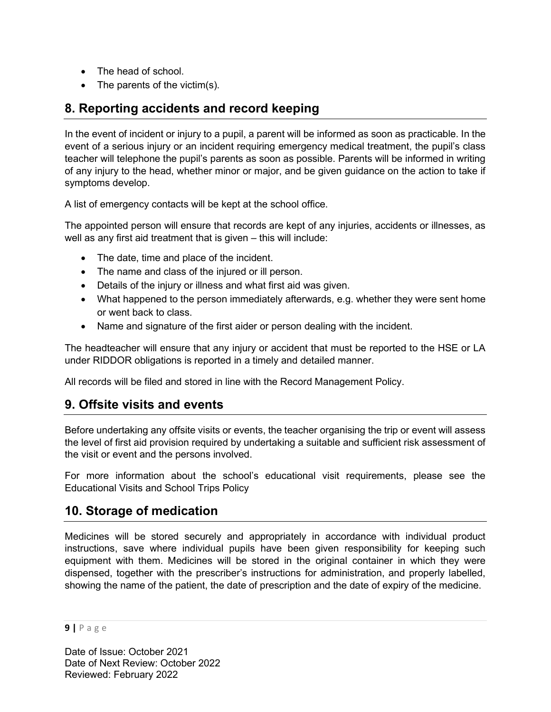- The head of school.
- The parents of the victim(s).

# 8. Reporting accidents and record keeping

In the event of incident or injury to a pupil, a parent will be informed as soon as practicable. In the event of a serious injury or an incident requiring emergency medical treatment, the pupil's class teacher will telephone the pupil's parents as soon as possible. Parents will be informed in writing of any injury to the head, whether minor or major, and be given guidance on the action to take if symptoms develop.

A list of emergency contacts will be kept at the school office.

The appointed person will ensure that records are kept of any injuries, accidents or illnesses, as well as any first aid treatment that is given – this will include:

- The date, time and place of the incident.
- The name and class of the injured or ill person.
- Details of the injury or illness and what first aid was given.
- What happened to the person immediately afterwards, e.g. whether they were sent home or went back to class.
- Name and signature of the first aider or person dealing with the incident.

The headteacher will ensure that any injury or accident that must be reported to the HSE or LA under RIDDOR obligations is reported in a timely and detailed manner.

All records will be filed and stored in line with the Record Management Policy.

### 9. Offsite visits and events

Before undertaking any offsite visits or events, the teacher organising the trip or event will assess the level of first aid provision required by undertaking a suitable and sufficient risk assessment of the visit or event and the persons involved.

For more information about the school's educational visit requirements, please see the Educational Visits and School Trips Policy

### 10. Storage of medication

Medicines will be stored securely and appropriately in accordance with individual product instructions, save where individual pupils have been given responsibility for keeping such equipment with them. Medicines will be stored in the original container in which they were dispensed, together with the prescriber's instructions for administration, and properly labelled, showing the name of the patient, the date of prescription and the date of expiry of the medicine.

9 | P a g e